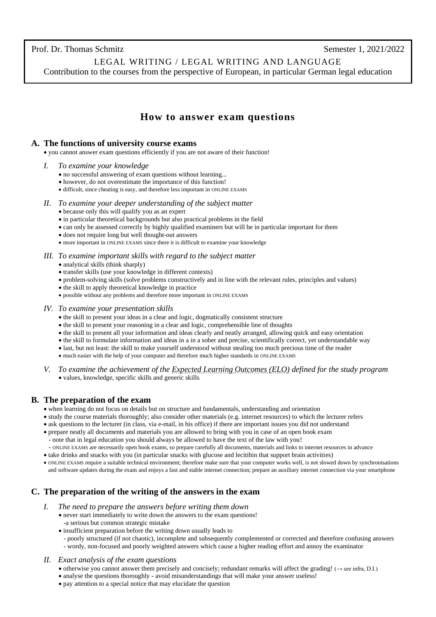LEGAL WRITING / LEGAL WRITING AND LANGUAGE Contribution to the courses from the perspective of European, in particular German legal education

## **How to answer exam questions**

### **A. The functions of university course exams**

• you cannot answer exam questions efficiently if you are not aware of their function!

- *I. To examine your knowledge*
	- no successful answering of exam questions without learning...
	- however, do not overestimate the importance of this function!
	- difficult, since cheating is easy, and therefore less important in ONLINE EXAMS
- *II. To examine your deeper understanding of the subject matter*
	- because only this will qualify you as an expert
	- in particular theoretical backgrounds but also practical problems in the field
	- can only be assessed correctly by highly qualified examiners but will be in particular important for them
	- does not require long but well thought-out answers
	- more important in ONLINE EXAMS since there it is difficult to examine your knowledge
- *III. To examine important skills with regard to the subject matter*
	- analytical skills (think sharply)
	- transfer skills (use your knowledge in different contexts)
	- problem-solving skills (solve problems constructively and in line with the relevant rules, principles and values)
	- the skill to apply theoretical knowledge in practice
	- possible without any problems and therefore more important in ONLINE EXAMS
- *IV. To examine your presentation skills*
	- the skill to present your ideas in a clear and logic, dogmatically consistent structure
	- the skill to present your reasoning in a clear and logic, comprehensible line of thoughts
	- the skill to present all your information and ideas clearly and neatly arranged, allowing quick and easy orientation
	- the skill to formulate information and ideas in a in a sober and precise, scientifically correct, yet understandable way
	- last, but not least: the skill to make yourself understood without stealing too much precious time of the reader
	- much easier with the help of your computer and therefore much higher standards in ONLINE EXAMS
- *V. To examine the achievement of th[e Expected Learning Outcomes \(ELO\)](https://iup.law.ugm.ac.id/expected-learning-outcomes/) defined for the study program* • values, knowledge, specific skills and generic skills

## **B. The preparation of the exam**

- when learning do not focus on details but on structure and fundamentals, understanding and orientation
- study the course materials thoroughly; also consider other materials (e.g. internet resources) to which the lecturer refers
- ask questions to the lecturer (in class, via e-mail, in his office) if there are important issues you did not understand
- prepare neatly all documents and materials you are allowed to bring with you in case of an open book exam
	- note that in legal education you should always be allowed to have the text of the law with you!
	- ONLINE EXAMS are necessarily open book exams, so prepare carefully all documents, materials and links to internet resources in advance
- take drinks and snacks with you (in particular snacks with glucose and lecitihin that support brain activities)
- ONLINE EXAMS require a suitable technical environment; therefore make sure that your computer works well, is not slowed down by synchronisations and software updates during the exam and enjoys a fast and stable internet connection; prepare an auxiliary internet connection via your smartphone

## **C. The preparation of the writing of the answers in the exam**

- *I. The need to prepare the answers before writing them down*
	- never start immediately to write down the answers to the exam questions! -a serious but common strategic mistake
	- insufficient preparation before the writing down usually leads to
	- poorly structured (if not chaotic), incomplete and subsequently complemented or corrected and therefore confusing answers - wordy, non-focused and poorly weighted answers which cause a higher reading effort and annoy the examinator
- *II. Exact analysis of the exam questions*
	- otherwise you cannot answer them precisely and concisely; redundant remarks will affect the grading! (→ see infra, D.I.)
	- analyse the questions thoroughly avoid misunderstandings that will make your answer useless!
	- pay attention to a special notice that may elucidate the question